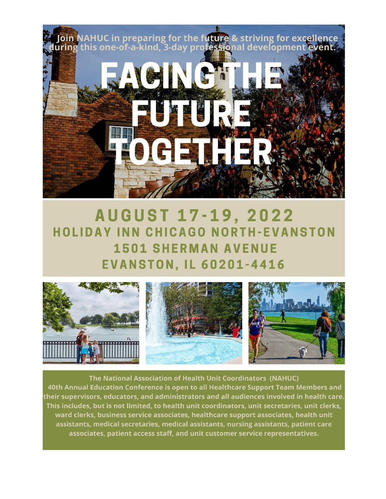

# **AUGUST 17-19, 2022 HOLIDAY INN CHICAGO NORTH-EVANSTON 1501 SHERMAN AVENUE EVANSTON, IL 60201-4416**



The National Association of Health Unit Coordinators (NAHUC) 40th Annual Education Conference is open to all Healthcare Support Team Members and their supervisors, educators, and administrators and all audiences involved in health care. This includes, but is not limited, to health unit coordinators, unit secretaries, unit clerks, ward clerks, business service associates, healthcare support associates, health unit assistants, medical secretaries, medical assistants, nursing assistants, patient care associates, patient access staff, and unit customer service representatives.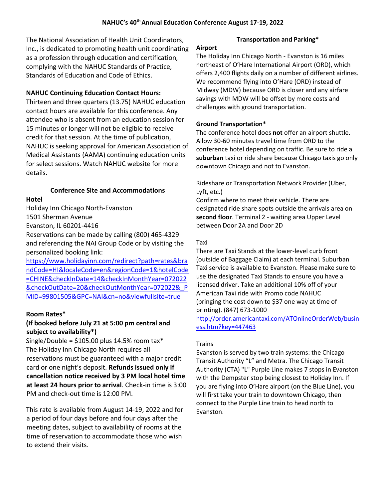The National Association of Health Unit Coordinators, Inc., is dedicated to promoting health unit coordinating as a profession through education and certification, complying with the NAHUC Standards of Practice, Standards of Education and Code of Ethics.

# **NAHUC Continuing Education Contact Hours:**

Thirteen and three quarters (13.75) NAHUC education contact hours are available for this conference. Any attendee who is absent from an education session for 15 minutes or longer will not be eligible to receive credit for that session. At the time of publication, NAHUC is seeking approval for American Association of Medical Assistants (AAMA) continuing education units for select sessions. Watch NAHUC website for more details.

# **Conference Site and Accommodations**

**Hotel**

Holiday Inn Chicago North-Evanston 1501 Sherman Avenue

Evanston, IL 60201-4416

Reservations can be made by calling (800) 465-4329 and referencing the NAI Group Code or by visiting the personalized booking link:

[https://www.holidayinn.com/redirect?path=rates&bra](https://www.holidayinn.com/redirect?path=rates&brandCode=HI&localeCode=en®ionCode=1&hotelCode=CHINE&checkInDate=14&checkInMonthYear=072022&checkOutDate=20&checkOutMonthYear=072022&_PMID=99801505&GPC=NAI&cn=no&viewfullsite=true) [ndCode=HI&localeCode=en&regionCode=1&hotelCode](https://www.holidayinn.com/redirect?path=rates&brandCode=HI&localeCode=en®ionCode=1&hotelCode=CHINE&checkInDate=14&checkInMonthYear=072022&checkOutDate=20&checkOutMonthYear=072022&_PMID=99801505&GPC=NAI&cn=no&viewfullsite=true) [=CHINE&checkInDate=14&checkInMonthYear=072022](https://www.holidayinn.com/redirect?path=rates&brandCode=HI&localeCode=en®ionCode=1&hotelCode=CHINE&checkInDate=14&checkInMonthYear=072022&checkOutDate=20&checkOutMonthYear=072022&_PMID=99801505&GPC=NAI&cn=no&viewfullsite=true) [&checkOutDate=20&checkOutMonthYear=072022&\\_P](https://www.holidayinn.com/redirect?path=rates&brandCode=HI&localeCode=en®ionCode=1&hotelCode=CHINE&checkInDate=14&checkInMonthYear=072022&checkOutDate=20&checkOutMonthYear=072022&_PMID=99801505&GPC=NAI&cn=no&viewfullsite=true) [MID=99801505&GPC=NAI&cn=no&viewfullsite=true](https://www.holidayinn.com/redirect?path=rates&brandCode=HI&localeCode=en®ionCode=1&hotelCode=CHINE&checkInDate=14&checkInMonthYear=072022&checkOutDate=20&checkOutMonthYear=072022&_PMID=99801505&GPC=NAI&cn=no&viewfullsite=true)

# **Room Rates\***

# **(If booked before July 21 at 5:00 pm central and subject to availability\*)**

Single/Double =  $$105.00$  plus 14.5% room tax\* The Holiday Inn Chicago North requires all reservations must be guaranteed with a major credit card or one night's deposit. **Refunds issued only if cancellation notice received by 3 PM local hotel time at least 24 hours prior to arrival**. Check-in time is 3:00 PM and check-out time is 12:00 PM.

This rate is available from August 14-19, 2022 and for a period of four days before and four days after the meeting dates, subject to availability of rooms at the time of reservation to accommodate those who wish to extend their visits.

# **Transportation and Parking\***

### **Airport**

The Holiday Inn Chicago North - Evanston is 16 miles northeast of O'Hare International Airport (ORD), which offers 2,400 flights daily on a number of different airlines. We recommend flying into O'Hare (ORD) instead of Midway (MDW) because ORD is closer and any airfare savings with MDW will be offset by more costs and challenges with ground transportation.

# **Ground Transportation\***

The conference hotel does **not** offer an airport shuttle. Allow 30-60 minutes travel time from ORD to the conference hotel depending on traffic. Be sure to ride a **suburban** taxi or ride share because Chicago taxis go only downtown Chicago and not to Evanston.

Rideshare or Transportation Network Provider (Uber, Lyft, etc.)

Confirm where to meet their vehicle. There are designated ride share spots outside the arrivals area on **second floor**. Terminal 2 - waiting area Upper Level between Door 2A and Door 2D

# Taxi

There are Taxi Stands at the lower-level curb front (outside of Baggage Claim) at each terminal. Suburban Taxi service is available to Evanston. Please make sure to use the designated Taxi Stands to ensure you have a licensed driver. Take an additional 10% off of your American Taxi ride with Promo code NAHUC (bringing the cost down to \$37 one way at time of printing). (847) 673-1000

[http://order.americantaxi.com/ATOnlineOrderWeb/busin](http://order.americantaxi.com/ATOnlineOrderWeb/business.htm?key=447463) [ess.htm?key=447463](http://order.americantaxi.com/ATOnlineOrderWeb/business.htm?key=447463)

# Trains

Evanston is served by two train systems: the Chicago Transit Authority "L" and Metra. The Chicago Transit Authority (CTA) "L" Purple Line makes 7 stops in Evanston with the Dempster stop being closest to Holiday Inn. If you are flying into O'Hare airport (on the Blue Line), you will first take your train to downtown Chicago, then connect to the Purple Line train to head north to Evanston.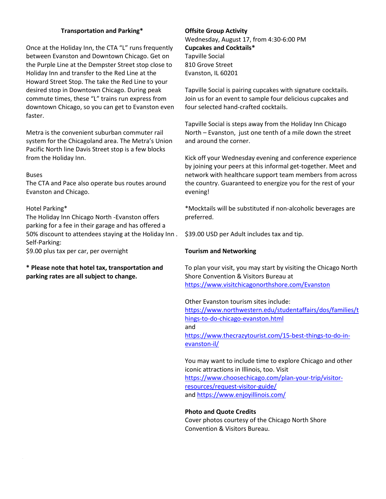### **Transportation and Parking\***

Once at the Holiday Inn, the CTA "L" runs frequently between Evanston and Downtown Chicago. Get on the Purple Line at the Dempster Street stop close to Holiday Inn and transfer to the Red Line at the Howard Street Stop. The take the Red Line to your desired stop in Downtown Chicago. During peak commute times, these "L" trains run express from downtown Chicago, so you can get to Evanston even faster.

Metra is the convenient suburban commuter rail system for the Chicagoland area. The Metra's Union Pacific North line Davis Street stop is a few blocks from the Holiday Inn.

#### Buses

The CTA and Pace also operate bus routes around Evanston and Chicago.

#### Hotel Parking\*

The Holiday Inn Chicago North -Evanston offers parking for a fee in their garage and has offered a 50% discount to attendees staying at the Holiday Inn . Self-Parking:

\$9.00 plus tax per car, per overnight

# **\* Please note that hotel tax, transportation and parking rates are all subject to change.**

# **Offsite Group Activity**  Wednesday, August 17, from 4:30-6:00 PM **Cupcakes and Cocktails\*** Tapville Social 810 Grove Street Evanston, IL 60201

Tapville Social is pairing cupcakes with signature cocktails. Join us for an event to sample four delicious cupcakes and four selected hand-crafted cocktails.

Tapville Social is steps away from the Holiday Inn Chicago North – Evanston, just one tenth of a mile down the street and around the corner.

Kick off your Wednesday evening and conference experience by joining your peers at this informal get-together. Meet and network with healthcare support team members from across the country. Guaranteed to energize you for the rest of your evening!

\*Mocktails will be substituted if non-alcoholic beverages are preferred.

\$39.00 USD per Adult includes tax and tip.

#### **Tourism and Networking**

To plan your visit, you may start by visiting the Chicago North Shore Convention & Visitors Bureau at <https://www.visitchicagonorthshore.com/Evanston>

Other Evanston tourism sites include: [https://www.northwestern.edu/studentaffairs/dos/families/t](https://www.northwestern.edu/studentaffairs/dos/families/things-to-do-chicago-evanston.html) [hings-to-do-chicago-evanston.html](https://www.northwestern.edu/studentaffairs/dos/families/things-to-do-chicago-evanston.html) and [https://www.thecrazytourist.com/15-best-things-to-do-in](https://www.thecrazytourist.com/15-best-things-to-do-in-evanston-il/)[evanston-il/](https://www.thecrazytourist.com/15-best-things-to-do-in-evanston-il/)

You may want to include time to explore Chicago and other iconic attractions in Illinois, too. Visit [https://www.choosechicago.com/plan-your-trip/visitor](https://www.choosechicago.com/plan-your-trip/visitor-resources/request-visitor-guide/)[resources/request-visitor-guide/](https://www.choosechicago.com/plan-your-trip/visitor-resources/request-visitor-guide/) an[d https://www.enjoyillinois.com/](https://www.enjoyillinois.com/)

#### **Photo and Quote Credits**

Cover photos courtesy of the Chicago North Shore Convention & Visitors Bureau.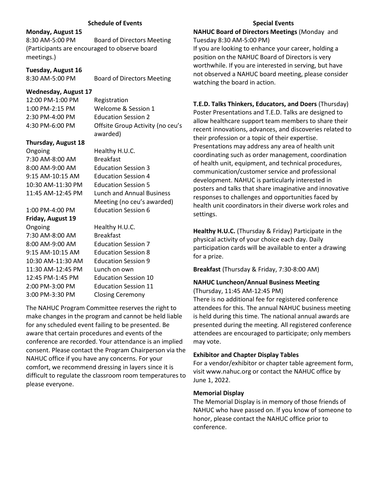#### **Schedule of Events**

#### **Monday, August 15**

8:30 AM-5:00 PM Board of Directors Meeting (Participants are encouraged to observe board meetings.)

#### **Tuesday, August 16**

8:30 AM-5:00 PM Board of Directors Meeting

#### **Wednesday, August 17**

12:00 PM-1:00 PM Registration

1:00 PM-2:15 PM Welcome & Session 1 2:30 PM-4:00 PM Education Session 2 4:30 PM-6:00 PM Offsite Group Activity (no ceu's awarded)

#### **Thursday, August 18**

Ongoing Healthy H.U.C. 7:30 AM-8:00 AM Breakfast 8:00 AM-9:00 AM Education Session 3 9:15 AM-10:15 AM Education Session 4 10:30 AM-11:30 PM Education Session 5

# **Friday, August 19**

7:30 AM-8:00 AM Breakfast 8:00 AM-9:00 AM Education Session 7 9:15 AM-10:15 AM Education Session 8 10:30 AM-11:30 AM Education Session 9 11:30 AM-12:45 PM Lunch on own 12:45 PM-1:45 PM Education Session 10 2:00 PM-3:00 PM Education Session 11 3:00 PM-3:30 PM Closing Ceremony

11:45 AM-12:45 PM Lunch and Annual Business Meeting (no ceu's awarded) 1:00 PM-4:00 PM Education Session 6

Ongoing Healthy H.U.C.

The NAHUC Program Committee reserves the right to make changes in the program and cannot be held liable for any scheduled event failing to be presented. Be aware that certain procedures and events of the conference are recorded. Your attendance is an implied consent. Please contact the Program Chairperson via the NAHUC office if you have any concerns. For your comfort, we recommend dressing in layers since it is difficult to regulate the classroom room temperatures to please everyone.

#### **Special Events**

#### **NAHUC Board of Directors Meetings** (Monday and Tuesday 8:30 AM-5:00 PM)

If you are looking to enhance your career, holding a position on the NAHUC Board of Directors is very worthwhile. If you are interested in serving, but have not observed a NAHUC board meeting, please consider watching the board in action.

# **T.E.D. Talks Thinkers, Educators, and Doers** (Thursday)

Poster Presentations and T.E.D. Talks are designed to allow healthcare support team members to share their recent innovations, advances, and discoveries related to their profession or a topic of their expertise. Presentations may address any area of health unit coordinating such as order management, coordination of health unit, equipment, and technical procedures, communication/customer service and professional development. NAHUC is particularly interested in posters and talks that share imaginative and innovative responses to challenges and opportunities faced by health unit coordinators in their diverse work roles and settings.

**Healthy H.U.C.** (Thursday & Friday) Participate in the physical activity of your choice each day. Daily participation cards will be available to enter a drawing for a prize.

**Breakfast** (Thursday & Friday, 7:30-8:00 AM)

# **NAHUC Luncheon/Annual Business Meeting**

(Thursday, 11:45 AM-12:45 PM)

There is no additional fee for registered conference attendees for this. The annual NAHUC business meeting is held during this time. The national annual awards are presented during the meeting. All registered conference attendees are encouraged to participate; only members may vote.

#### **Exhibitor and Chapter Display Tables**

For a vendor/exhibitor or chapter table agreement form, visit www.nahuc.org or contact the NAHUC office by June 1, 2022.

#### **Memorial Display**

The Memorial Display is in memory of those friends of NAHUC who have passed on. If you know of someone to honor, please contact the NAHUC office prior to conference.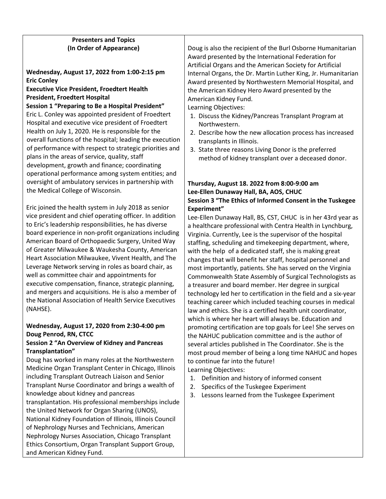# **Presenters and Topics (In Order of Appearance)**

**Wednesday, August 17, 2022 from 1:00-2:15 pm Eric Conley**

# **Executive Vice President, Froedtert Health President, Froedtert Hospital**

**Session 1 "Preparing to Be a Hospital President"** Eric L. Conley was appointed president of Froedtert Hospital and executive vice president of Froedtert Health on July 1, 2020. He is responsible for the overall functions of the hospital; leading the execution of performance with respect to strategic priorities and plans in the areas of service, quality, staff development, growth and finance; coordinating operational performance among system entities; and oversight of ambulatory services in partnership with the Medical College of Wisconsin.

Eric joined the health system in July 2018 as senior vice president and chief operating officer. In addition to Eric's leadership responsibilities, he has diverse board experience in non-profit organizations including American Board of Orthopaedic Surgery, United Way of Greater Milwaukee & Waukesha County, American Heart Association Milwaukee, Vivent Health, and The Leverage Network serving in roles as board chair, as well as committee chair and appointments for executive compensation, finance, strategic planning, and mergers and acquisitions. He is also a member of the National Association of Health Service Executives (NAHSE).

# **Wednesday, August 17, 2020 from 2:30-4:00 pm Doug Penrod, RN, CTCC**

# **Session 2 "An Overview of Kidney and Pancreas Transplantation"**

Doug has worked in many roles at the Northwestern Medicine Organ Transplant Center in Chicago, Illinois including Transplant Outreach Liaison and Senior Transplant Nurse Coordinator and brings a wealth of knowledge about kidney and pancreas transplantation. His professional memberships include the United Network for Organ Sharing (UNOS), National Kidney Foundation of Illinois, Illinois Council of Nephrology Nurses and Technicians, American Nephrology Nurses Association, Chicago Transplant Ethics Consortium, Organ Transplant Support Group, and American Kidney Fund.

Doug is also the recipient of the Burl Osborne Humanitarian Award presented by the International Federation for Artificial Organs and the American Society for Artificial Internal Organs, the Dr. Martin Luther King, Jr. Humanitarian Award presented by Northwestern Memorial Hospital, and the American Kidney Hero Award presented by the American Kidney Fund.

Learning Objectives:

- 1. Discuss the Kidney/Pancreas Transplant Program at Northwestern.
- 2. Describe how the new allocation process has increased transplants in Illinois.
- 3. State three reasons Living Donor is the preferred method of kidney transplant over a deceased donor.

# **Thursday, August 18. 2022 from 8:00-9:00 am Lee-Ellen Dunaway Hall, BA, AOS, CHUC Session 3 "The Ethics of Informed Consent in the Tuskegee Experiment"**

Lee-Ellen Dunaway Hall, BS, CST, CHUC is in her 43rd year as a healthcare professional with Centra Health in Lynchburg, Virginia. Currently, Lee is the supervisor of the hospital staffing, scheduling and timekeeping department, where, with the help of a dedicated staff, she is making great changes that will benefit her staff, hospital personnel and most importantly, patients. She has served on the Virginia Commonwealth State Assembly of Surgical Technologists as a treasurer and board member. Her degree in surgical technology led her to certification in the field and a six-year teaching career which included teaching courses in medical law and ethics. She is a certified health unit coordinator, which is where her heart will always be. Education and promoting certification are top goals for Lee! She serves on the NAHUC publication committee and is the author of several articles published in The Coordinator. She is the most proud member of being a long time NAHUC and hopes to continue far into the future! Learning Objectives:

- 1. Definition and history of informed consent
- 2. Specifics of the Tuskegee Experiment
- 3. Lessons learned from the Tuskegee Experiment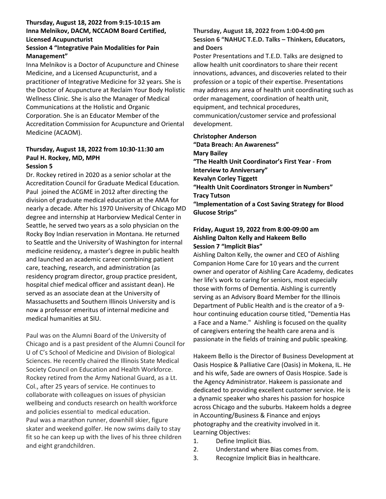# **Thursday, August 18, 2022 from 9:15-10:15 am Inna Melnikov, DACM, NCCAOM Board Certified, Licensed Acupuncturist**

# **Session 4 "Integrative Pain Modalities for Pain Management"**

Inna Melnikov is a Doctor of Acupuncture and Chinese Medicine, and a Licensed Acupuncturist, and a practitioner of Integrative Medicine for 32 years. She is the Doctor of Acupuncture at Reclaim Your Body Holistic Wellness Clinic. She is also the Manager of Medical Communications at the Holistic and Organic Corporation. She is an Educator Member of the Accreditation Commission for Acupuncture and Oriental Medicine (ACAOM).

### **Thursday, August 18, 2022 from 10:30-11:30 am Paul H. Rockey, MD, MPH Session 5**

Dr. Rockey retired in 2020 as a senior scholar at the Accreditation Council for Graduate Medical Education. Paul joined the ACGME in 2012 after directing the division of graduate medical education at the AMA for nearly a decade. After his 1970 University of Chicago MD degree and internship at Harborview Medical Center in Seattle, he served two years as a solo physician on the Rocky Boy Indian reservation in Montana. He returned to Seattle and the University of Washington for internal medicine residency, a master's degree in public health and launched an academic career combining patient care, teaching, research, and administration (as residency program director, group practice president, hospital chief medical officer and assistant dean). He served as an associate dean at the University of Massachusetts and Southern Illinois University and is now a professor emeritus of internal medicine and medical humanities at SIU.

Paul was on the Alumni Board of the University of Chicago and is a past president of the Alumni Council for U of C's School of Medicine and Division of Biological Sciences. He recently chaired the Illinois State Medical Society Council on Education and Health Workforce. Rockey retired from the Army National Guard, as a Lt. Col., after 25 years of service. He continues to collaborate with colleagues on issues of physician wellbeing and conducts research on health workforce and policies essential to medical education. Paul was a marathon runner, downhill skier, figure skater and weekend golfer. He now swims daily to stay fit so he can keep up with the lives of his three children and eight grandchildren.

# **Thursday, August 18, 2022 from 1:00-4:00 pm Session 6 "NAHUC T.E.D. Talks – Thinkers, Educators, and Doers**

Poster Presentations and T.E.D. Talks are designed to allow health unit coordinators to share their recent innovations, advances, and discoveries related to their profession or a topic of their expertise. Presentations may address any area of health unit coordinating such as order management, coordination of health unit, equipment, and technical procedures, communication/customer service and professional development.

# **Christopher Anderson**

**"Data Breach: An Awareness" Mary Bailey**

**"The Health Unit Coordinator's First Year - From Interview to Anniversary" Kevalyn Corley Tiggett**

**"Health Unit Coordinators Stronger in Numbers" Tracy Tutson**

**"Implementation of a Cost Saving Strategy for Blood Glucose Strips"**

# **Friday, August 19, 2022 from 8:00-09:00 am Aishling Dalton Kelly and Hakeem Bello Session 7 "Implicit Bias"**

Aishling Dalton Kelly, the owner and CEO of Aishling Companion Home Care for 10 years and the current owner and operator of Aishling Care Academy, dedicates her life's work to caring for seniors, most especially those with forms of Dementia. Aishling is currently serving as an Advisory Board Member for the Illinois Department of Public Health and is the creator of a 9 hour continuing education course titled, "Dementia Has a Face and a Name." Aishling is focused on the quality of caregivers entering the health care arena and is passionate in the fields of training and public speaking.

Hakeem Bello is the Director of Business Development at Oasis Hospice & Palliative Care (Oasis) in Mokena, IL. He and his wife, Sade are owners of Oasis Hospice. Sade is the Agency Administrator. Hakeem is passionate and dedicated to providing excellent customer service. He is a dynamic speaker who shares his passion for hospice across Chicago and the suburbs. Hakeem holds a degree in Accounting/Business & Finance and enjoys photography and the creativity involved in it. Learning Objectives:

- 1. Define Implicit Bias.
- 2. Understand where Bias comes from.
- 3. Recognize Implicit Bias in healthcare.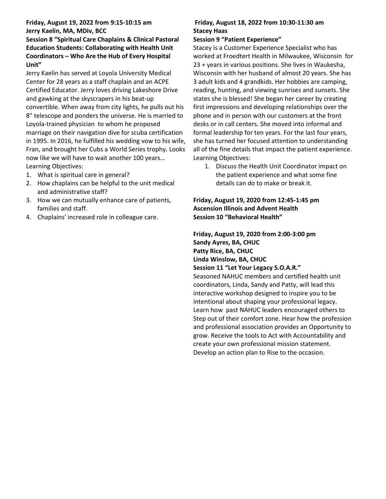# **Friday, August 19, 2022 from 9:15-10:15 am Jerry Kaelin, MA, MDiv, BCC**

# **Session 8 "Spiritual Care Chaplains & Clinical Pastoral Education Students: Collaborating with Health Unit Coordinators – Who Are the Hub of Every Hospital Unit"**

Jerry Kaelin has served at Loyola University Medical Center for 28 years as a staff chaplain and an ACPE Certified Educator. Jerry loves driving Lakeshore Drive and gawking at the skyscrapers in his beat-up convertible. When away from city lights, he pulls out his 8" telescope and ponders the universe. He is married to Loyola-trained physician to whom he proposed marriage on their navigation dive for scuba certification in 1995. In 2016, he fulfilled his wedding vow to his wife, Fran, and brought her Cubs a World Series trophy. Looks now like we will have to wait another 100 years… Learning Objectives:

- 1. What is spiritual care in general?
- 2. How chaplains can be helpful to the unit medical and administrative staff?
- 3. How we can mutually enhance care of patients, families and staff.
- 4. Chaplains' increased role in colleague care.

## **Friday, August 18, 2022 from 10:30-11:30 am Stacey Haas**

# **Session 9 "Patient Experience"**

Stacey is a Customer Experience Specialist who has worked at Froedtert Health in Milwaukee, Wisconsin for 23 + years in various positions. She lives in Waukesha, Wisconsin with her husband of almost 20 years. She has 3 adult kids and 4 grandkids. Her hobbies are camping, reading, hunting, and viewing sunrises and sunsets. She states she is blessed! She began her career by creating first impressions and developing relationships over the phone and in person with our customers at the front desks or in call centers. She moved into informal and formal leadership for ten years. For the last four years, she has turned her focused attention to understanding all of the fine details that impact the patient experience. Learning Objectives:

1. Discuss the Health Unit Coordinator impact on the patient experience and what some fine details can do to make or break it.

**Friday, August 19, 2020 from 12:45-1:45 pm Ascension Illinois and Advent Health Session 10 "Behavioral Health"**

**Friday, August 19, 2020 from 2:00-3:00 pm Sandy Ayres, BA, CHUC Patty Rice, BA, CHUC Linda Winslow, BA, CHUC Session 11 "Let Your Legacy S.O.A.R."** Seasoned NAHUC members and certified health unit coordinators, Linda, Sandy and Patty, will lead this interactive workshop designed to inspire you to be intentional about shaping your professional legacy. Learn how past NAHUC leaders encouraged others to Step out of their comfort zone. Hear how the profession and professional association provides an Opportunity to grow. Receive the tools to Act with Accountability and create your own professional mission statement. Develop an action plan to Rise to the occasion.